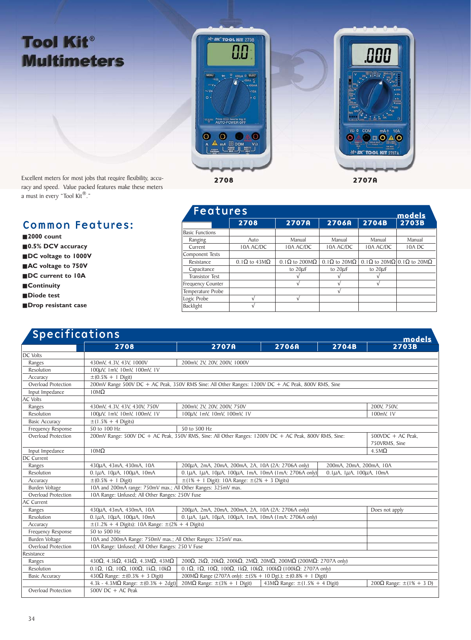## **Tool Kit® Multimeters**



Excellent meters for most jobs that require flexibility, accuracy and speed. Value packed features make these meters a must in every "Tool Kit®."

## Common Features:

## ■ 2000 count

- **0.5% DCV accuracy**
- **DC** voltage to 1000V
- **AC** voltage to 750V
- **DC** current to 10A
- **Continuity**
- **Diode test**
- **Drop resistant case**

| <b>Features</b>        |                                   |                              |                             |              | models                    |
|------------------------|-----------------------------------|------------------------------|-----------------------------|--------------|---------------------------|
|                        | 2708                              | 2707A                        | 2706A                       | 2704B        | 2703B                     |
| <b>Basic Functions</b> |                                   |                              |                             |              |                           |
| Ranging                | Auto                              | Manual                       | Manual                      | Manual       | Manual                    |
| Current                | <b>IOA AC/DC</b>                  | <b>IOA AC/DC</b>             | <b>10A AC/DC</b>            | 10A AC/DC    | 10A DC                    |
| Component Tests        |                                   |                              |                             |              |                           |
| Resistance             | $0.1\Omega$ to $43\text{M}\Omega$ | $0.1\Omega$ to 200M $\Omega$ | $0.1\Omega$ to 20M $\Omega$ |              | 0.1Ω to 20MΩ 0.1Ω to 20MΩ |
| Capacitance            |                                   | to $20\mu F$                 | to $20\mu F$                | to $20\mu F$ |                           |
| <b>Transistor Test</b> |                                   |                              |                             |              |                           |
| Frequency Counter      |                                   |                              |                             |              |                           |
| Temperature Probe      |                                   |                              |                             |              |                           |
| Logic Probe            | A.                                | N                            |                             |              |                           |
| Backlight              | N                                 |                              |                             |              |                           |

| <b>Specifications</b> | models                                                                                                |                                                                                                                                     |                                            |                                           |                                       |  |
|-----------------------|-------------------------------------------------------------------------------------------------------|-------------------------------------------------------------------------------------------------------------------------------------|--------------------------------------------|-------------------------------------------|---------------------------------------|--|
|                       | 2708                                                                                                  | <b>2707A</b>                                                                                                                        | 2706A                                      | 2704B                                     | <b>2703B</b>                          |  |
| DC Volts              |                                                                                                       |                                                                                                                                     |                                            |                                           |                                       |  |
| Ranges                | 430mV, 4.3V, 43V, 1000V                                                                               | 200mV, 2V, 20V, 200V, 1000V                                                                                                         |                                            |                                           |                                       |  |
| Resolution            | 100μV, 1mV, 10mV, 100mV, 1V                                                                           |                                                                                                                                     |                                            |                                           |                                       |  |
| Accuracy              | $\pm (0.5\% + 1)$ Digit)                                                                              |                                                                                                                                     |                                            |                                           |                                       |  |
| Overload Protection   | 200mV Range 500V DC + AC Peak, 350V RMS Sine: All Other Ranges: 1200V DC + AC Peak, 800V RMS, Sine    |                                                                                                                                     |                                            |                                           |                                       |  |
| Input Impedance       | $10M\Omega$                                                                                           |                                                                                                                                     |                                            |                                           |                                       |  |
| <b>AC Volts</b>       |                                                                                                       |                                                                                                                                     |                                            |                                           |                                       |  |
| Ranges                | 430mV, 4.3V, 43V, 430V, 750V                                                                          | 200mV, 2V, 20V, 200V, 750V                                                                                                          |                                            |                                           | 200V, 750V,                           |  |
| Resolution            | 100μV, 1mV, 10mV, 100mV, 1V                                                                           | 100μV, 1mV, 10mV, 100mV, 1V                                                                                                         |                                            |                                           | 100mV, IV                             |  |
| <b>Basic Accuracy</b> | $\pm (1.5\% + 4 \text{ Digits})$                                                                      |                                                                                                                                     |                                            |                                           |                                       |  |
| Frequency Response    | 50 to 100 Hz                                                                                          | 50 to 500 Hz                                                                                                                        |                                            |                                           |                                       |  |
| Overload Protection   | 200mV Range: 500V DC + AC Peak, 350V RMS, Sine: All Other Ranges: 1200V DC + AC Peak, 800V RMS, Sine: |                                                                                                                                     |                                            |                                           | $500VDC + AC Peak$ .<br>750VRMS, Sine |  |
| Input Impedance       | $10M\Omega$                                                                                           |                                                                                                                                     |                                            |                                           | $4.5M\Omega$                          |  |
| DC Current            |                                                                                                       |                                                                                                                                     |                                            |                                           |                                       |  |
| Ranges                | 430µA, 43mA, 430mA, 10A                                                                               | 200µA, 2mA, 20mA, 200mA, 2A, 10A (2A: 2706A only)                                                                                   |                                            | 200mA, 20mA, 200mA, 10A                   |                                       |  |
| Resolution            | $0.1\mu$ A, $10\mu$ A, $100\mu$ A, $10$ mA                                                            | $0.1\mu$ A, $1\mu$ A, $10\mu$ A, $100\mu$ A, $1$ mA, $10$ mA ( $1$ mA: 2706A only)                                                  |                                            | $0.1\mu$ A, $1\mu$ A, $100\mu$ A, $10$ mA |                                       |  |
| Accuracy              | $\pm (0.5\% + 1)$ Digit)<br>$\pm$ (1% + 1 Digit): 10A Range: $\pm$ (2% + 3 Digits)                    |                                                                                                                                     |                                            |                                           |                                       |  |
| <b>Burden Voltage</b> | 10A and 200mA range: 750mV max.; All Other Ranges: 325mV max.                                         |                                                                                                                                     |                                            |                                           |                                       |  |
| Overload Protection   | 10A Range: Unfused; All Other Ranges: 250V Fuse                                                       |                                                                                                                                     |                                            |                                           |                                       |  |
| AC Current            |                                                                                                       |                                                                                                                                     |                                            |                                           |                                       |  |
| Ranges                | 430µA, 43mA, 430mA, 10A                                                                               | 200µA, 2mA, 20mA, 200mA, 2A, 10A (2A: 2706A only)                                                                                   |                                            |                                           | Does not apply                        |  |
| Resolution            | $0.1\mu$ A, $10\mu$ A, $100\mu$ A, $10$ mA                                                            | $0.1\mu$ A, $1\mu$ A, $10\mu$ A, $100\mu$ A, $1$ mA, $10$ mA ( $1$ mA: 2706A only)                                                  |                                            |                                           |                                       |  |
| Accuracy              | $\pm$ (1.2% + 4 Digits): 10A Range: $\pm$ (2% + 4 Digits)                                             |                                                                                                                                     |                                            |                                           |                                       |  |
| Frequency Response    | 50 to 500 Hz                                                                                          |                                                                                                                                     |                                            |                                           |                                       |  |
| <b>Burden Voltage</b> | 10A and 200mA Range: 750mV max.; All Other Ranges: 325mV max.                                         |                                                                                                                                     |                                            |                                           |                                       |  |
| Overload Protection   | 10A Range: Unfused; All Other Ranges: 250 V Fuse                                                      |                                                                                                                                     |                                            |                                           |                                       |  |
| Resistance            |                                                                                                       |                                                                                                                                     |                                            |                                           |                                       |  |
| Ranges                | 430 $\Omega$ , 4.3k $\Omega$ , 43k $\Omega$ , 4.3M $\Omega$ , 43M $\Omega$                            | 200 $\Omega$ , 2k $\Omega$ , 20k $\Omega$ , 200k $\Omega$ , 2M $\Omega$ , 20M $\Omega$ , 200M $\Omega$ (200M $\Omega$ : 2707A only) |                                            |                                           |                                       |  |
| Resolution            | $0.1\Omega$ , 1Ω, 10Ω, 100Ω, 1kΩ, 10kΩ                                                                | $0.1\Omega$ , $1\Omega$ , $10\Omega$ , $100\Omega$ , $1k\Omega$ , $10k\Omega$ , $100k\Omega$ ( $100k\Omega$ : 2707A only)           |                                            |                                           |                                       |  |
| <b>Basic Accuracy</b> | 430 $\Omega$ Range: $\pm (0.3\% + 3$ Digit)                                                           | 200MΩ Range (2707A only): $\pm$ (5% + 10 Dgt.); $\pm$ (0.8% + 1 Digit)                                                              |                                            |                                           |                                       |  |
|                       | 4.3k - 4.3M $\Omega$ Range: $\pm (0.3\% + 2 \text{dgt})$                                              | $20M\Omega$ Range: $\pm(3\% + 1)$ Digit)                                                                                            | 43M $\Omega$ Range: $\pm$ (1.5% + 4 Digit) |                                           | 200Ω Range: $\pm(1\% + 3)$ D)         |  |
| Overload Protection   | $500V$ DC + AC Peak                                                                                   |                                                                                                                                     |                                            |                                           |                                       |  |